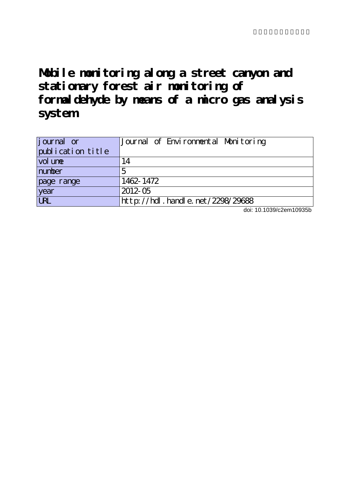**Mobile monitoring along a street canyon and stationary forest air monitoring of formaldehyde by means of a micro gas analysis system**

| journal or                 | Journal of Environmental Monitoring |
|----------------------------|-------------------------------------|
| publication title          |                                     |
| $\vert$ vol un $\mathbf e$ | 14                                  |
| number                     |                                     |
| page range                 | 1462-1472                           |
| year                       | $2012-05$                           |
| <b>URL</b>                 | http://hdl.handle.net/2298/29688    |

doi: 10.1039/c2em10935b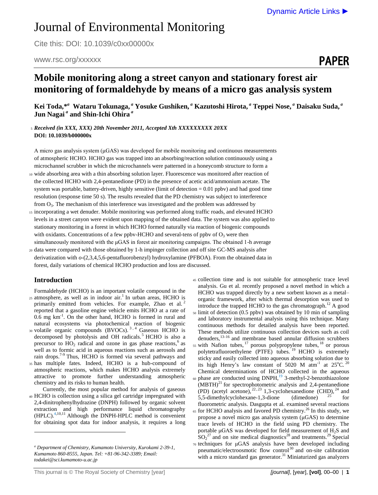PAPER

# Journal of Environmental Monitoring

Cite this: DOI: 10.1039/c0xx00000x

## www.rsc.org/xxxxxx

## **Mobile monitoring along a street canyon and stationary forest air monitoring of formaldehyde by means of a micro gas analysis system**

**Kei Toda,\*** *a*  **Wataru Tokunaga,** *<sup>a</sup>* **Yosuke Gushiken,** *<sup>a</sup>* **Kazutoshi Hirota,** *<sup>a</sup>* **Teppei Nose,** *<sup>a</sup>* **Daisaku Suda,** *<sup>a</sup>* **Jun Nagai** *<sup>a</sup>* **and Shin-Ichi Ohira** *<sup>a</sup>*

<sup>5</sup> *Received (in XXX, XXX) 20th November 2011, Accepted Xth XXXXXXXXX 20XX* **DOI: 10.1039/b000000x**

A micro gas analysis system (μGAS) was developed for mobile monitoring and continuous measurements of atmospheric HCHO. HCHO gas was trapped into an absorbing/reaction solution continuously using a microchannel scrubber in which the microchannels were patterned in a honeycomb structure to form a

- <sup>10</sup> wide absorbing area with a thin absorbing solution layer. Fluorescence was monitored after reaction of the collected HCHO with 2,4-pentanedione (PD) in the presence of acetic acid/ammonium acetate. The system was portable, battery-driven, highly sensitive (limit of detection  $= 0.01$  ppbv) and had good time resolution (response time 50 s). The results revealed that the PD chemistry was subject to interference from  $O_3$ . The mechanism of this interference was investigated and the problem was addressed by
- <sup>15</sup> incorporating a wet denuder. Mobile monitoring was performed along traffic roads, and elevated HCHO levels in a street canyon were evident upon mapping of the obtained data. The system was also applied to stationary monitoring in a forest in which HCHO formed naturally via reaction of biogenic compounds with oxidants. Concentrations of a few ppbv-HCHO and several-tens of ppbv of  $O_3$  were then simultaneously monitored with the μGAS in forest air monitoring campaigns. The obtained 1-h average
- <sup>20</sup> data were compared with those obtained by 1-h impinger collection and off site GC-MS analysis after derivatization with *o*-(2,3,4,5,6-pentafluorobenzyl) hydroxylamine (PFBOA). From the obtained data in forest, daily variations of chemical HCHO production and loss are discussed.

## **Introduction**

 $\overline{a}$ 

Formaldehyde (HCHO) is an important volatile compound in the  $25$  atmosphere, as well as in indoor air.<sup>1</sup> In urban areas, HCHO is primarily emitted from vehicles. For example, Zhao et al. reported that a gasoline engine vehicle emits HCHO at a rate of 0.6 mg km<sup>-1</sup>. On the other hand, HCHO is formed in rural and natural ecosystems via photochemical reaction of biogenic 30 volatile organic compounds  $(BVOCs)$ .<sup>3,4</sup> Gaseous HCHO is decomposed by photolysis and OH radicals.<sup>5</sup> HCHO is also a precursor to  $HO_2$  radical and ozone in gas phase reactions,<sup>6</sup> as well as to formic acid in aqueous reactions such as aerosols and rain drops.<sup>7-9</sup> Thus, HCHO is formed via several pathways and <sup>35</sup> has multiple fates. Indeed, HCHO is a hub-compound of atmospheric reactions, which makes HCHO analysis extremely attractive to promote further understanding atmospheric chemistry and its risks to human health.

Currently, the most popular method for analysis of gaseous <sup>40</sup> HCHO is collection using a silica gel cartridge impregnated with 2,4-dinitrophenylhydrazine (DNPH) followed by organic solvent extraction and high performance liquid chromatography (HPLC).4,10,11 Although the DNPH-HPLC method is convenient for obtaining spot data for indoor analysis, it requires a long <sup>45</sup> collection time and is not suitable for atmospheric trace level analysis. Gu et al. recently proposed a novel method in which a HCHO was trapped directly by a new sorbent known as a metal– organic framework, after which thermal desorption was used to introduce the trapped HCHO to the gas chromatograph.<sup>12</sup> A good <sup>50</sup> limit of detection (0.5 ppbv) was obtained by 10 min of sampling and laboratory instrumental analysis using this technique. Many continuous methods for detailed analysis have been reported. These methods utilize continuous collection devices such as coil denuders,13-16 and membrane based annular diffusion scrubbers  $55$  with Nafion tubes,  $17$  porous polypropylene tubes,  $18$  or porous polytetrafluoroethylene (PTFE) tubes. <sup>19</sup> HCHO is extremely sticky and easily collected into aqueous absorbing solution due to its high Henry's law constant of 5020 M atm<sup>-1</sup> at 25°C.<sup>20</sup> Chemical determinations of HCHO collected in the aqueous 60 phase are conducted using DNPH,<sup>19</sup> 3-methyl-2-benzothiazolone  $(MBTH)<sup>21</sup>$  for spectrophotometric analysis and 2,4-pentanedione (PD) (acetyl acetone),  $^{22,23}$  1,3-cyclohexanedione (CHD),  $^{24}$  and 5,5-dimethylcyclohexane-1,3-dione (dimedone)  $^{25}$  for fluorometric analysis. Dasgupta et al. examined several reactions  $65$  for HCHO analysis and favored PD chemistry.<sup>26</sup> In this study, we propose a novel micro gas analysis system (μGAS) to determine trace levels of HCHO in the field using PD chemistry. The portable  $\mu$ GAS was developed for field measurement of H<sub>2</sub>S and  $SO_2^{27}$  and on site medical diagnostics<sup>28</sup> and treatments.<sup>29</sup> Special <sup>70</sup> techniques for μGAS analysis have been developed including pneumatic/electroosmotic flow control <sup>30</sup> and on-site calibration with a micro standard gas generator. $31$  Miniaturized gas analyzers

*<sup>a</sup> Department of Chemistry, Kumamoto University, Kurokami 2-39-1, Kumamoto 860-8555, Japan. Tel: +81-96-342-3389; Email: todakei@sci.kumamoto-u.ac.jp*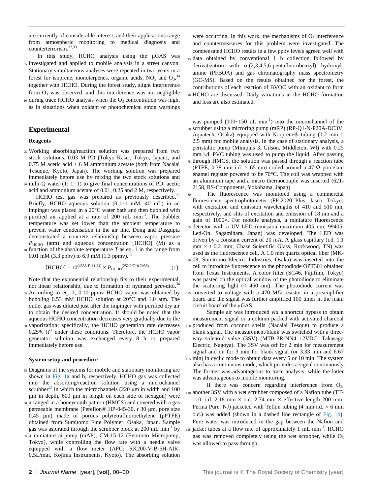are currently of considerable interest, and their applications range from atmospheric monitoring to medical diagnosis and counterterrorism. 32,33

- In this study, HCHO analysis using the μGAS was <sup>5</sup> investigated and applied to mobile analysis in a street canyon. Stationary simultaneous analyses were repeated in two years in a forest for isoprene, monoterpenes, organic acids,  $NO_x$  and  $O_3$ ,<sup>34</sup> together with HCHO. During the forest study, slight interference from  $O_3$  was observed, and this interference was not negligible
- 10 during trace HCHO analysis when the  $O_3$  concentration was high, as in situations when oxidant or photochemical smog warnings

## **Experimental**

#### **Reagents**

- <sup>25</sup> Working absorbing/reaction solution was prepared from two stock solutions, 0.03 M PD (Tokyo Kasei, Tokyo, Japan), and  $0.75$  M acetic acid  $+ 6$  M ammonium acetate (both from Nacalai Tesuque, Kyoto, Japan). The working solution was prepared immediately before use by mixing the two stock solutions and <sup>30</sup> milli-Q water (1: 1: 1) to give final concentrations of PD, acetic
- acid and ammonium acetate of 0.01, 0.25 and 2 M, respectively.
- HCHO test gas was prepared as previously described.<sup>21</sup> Briefly, HCHO aqueous solution (0.1~1 mM, 40 mL) in an impinger was placed in a 20°C water bath and then bubbled with  $35$  purified air applied at a rate of 200 mL min<sup>-1</sup>. The bubbler temperature was set lower than the ambient temperature to prevent water condensation in the air line. Dong and Dasgupta demonstrated a concrete relationship between vapor pressure  $P_{\text{HCHO}}$  (atm) and aqueous concentration [HCHO] (M) as a <sup>40</sup> function of the absolute temperature *T* as eq. 1 in the range from
- 0.01 mM (3.3 ppbv) to 6.9 mM (1.3 ppmv).<sup>3</sup>

[HCHO] = 
$$
10^{(4538/T - 11.34)} \times P_{\text{HCHO}}^{(252.2/T + 0.2088)}
$$
 (1)

Note that the exponential relationship fits to their experimental, not linear relationship, due to formation of hydrated *gem*-diol.<sup>36</sup>

- <sup>45</sup> According to eq. 1, 0.10 ppmv HCHO vapor was obtained by bubbling 0.53 mM HCHO solution at 20°C and 1.0 atm. The outlet gas was diluted just after the impinger with purified dry air to obtain the desired concentration. It should be noted that the aqueous HCHO concentration decreases very gradually due to the <sup>50</sup> vaporization; specifically, the HCHO generation rate decreases 0.25% h<sup>-1</sup> under these conditions. Therefore, the HCHO vapor
- generator solution was exchanged every 8 h or prepared immediately before use.

#### **System setup and procedure**

- <sup>55</sup> Diagrams of the systems for mobile and stationary monitoring are shown in Fig. 1a and b, respectively. HCHO gas was collected into the absorbing/reaction solution using a microchannel scrubber<sup>28</sup> in which the microchannels (220  $\mu$ m in width and 100 μm in depth, 600 μm in length on each side of hexagon) were <sup>60</sup> arranged in a honeycomb pattern (HMCS) and covered with a gas
- permeable membrane (Pereflon® HP-045-30, *t* 30 μm, pore size 0.45 μm) made of porous polytetrafluoroethylene (pPTFE) obtained from Sumitomo Fine Polymer, Osaka, Japan. Sample gas was aspirated through the scrubber block at  $200 \text{ mL min}^{-1}$  by
- <sup>65</sup> a miniature airpump (mAP), CM-15-12 (Enomoto Micropump, Tokyo), while controlling the flow rate with a needle valve equipped with a flow meter (AFC; RK200-V-B-6H-AIR-0.5L/min, Kojima Instruments, Kyoto). The absorbing solution

were occurring. In this work, the mechanisms of  $O_3$  interference and countermeasures for this problem were investigated. The compensated HCHO results in a few ppbv levels agreed well with <sup>15</sup> data obtained by conventional 1 h collection followed by derivatization with *o*-(2,3,4,5,6-pentafluorobenzyl) hydroxylamine (PFBOA) and gas chromatography mass spectrometry (GC-MS). Based on the results obtained for the forest, the contributions of each reaction of BVOC with an oxidant to form <sup>20</sup> HCHO are discussed. Daily variations in the HCHO formation and loss are also estimated.

was pumped  $(100~150~\mu L \text{ min}^{-1})$  into the microchannel of the <sup>70</sup> scrubber using a microring pump (mRP) (RP-Q1-N-P20A-DC3V, Aquatech, Osaka) equipped with Norprene® tubing (1.2 mm  $\times$ 2.5 mm) for mobile analysis. In the case of stationary analysis, a peristaltic pump (Minipuls 3, Gilson, Middleton, WI) with 0.25 mm i.d. PVC tubing was used to pump the liquid. After passing <sup>75</sup> through HMCS, the solution was passed through a reaction tube (PTFE, 0.38 mm i.d.  $\times$  65 cm) coiled around a 47- $\Omega$  porcelain enamel register powered to be 70°C. The coil was wrapped with an aluminum tape and a micro thermocouple was inserted (621- 2158, RS-Components, Yokohama, Japan).

The fluorescence was monitored using a commercial fluorescence spectrophotometer (FP-2020 Plus, Jasco, Tokyo) with excitation and emission wavelengths of 410 and 510 nm, respectively, and slits of excitation and emission of 18 nm and a gain of 1000×. For mobile analysis, a miniature fluorescence <sup>85</sup> detector with a UV-LED (emission maximum 405 nm, 99405, Led-On, Sagamihara, Japan) was developed. The LED was driven by a constant current of 20 mA. A glass capillary (i.d. 1.1  $mm \times t$  0.2 mm; Chase Scientific Glass, Rockwood, TN) was used as the fluorescence cell. A 1.0 mm quartz optical fiber (MK-<sup>90</sup> 08, Sumitomo Electric Industries, Osaka) was inserted into the cell to introduce fluorescence to the photodiode OPT301 obtained from Texas Instruments. A color filter (SC46, Fujifilm, Tokyo) was pasted on the optical window of the photodiode to eliminate the scattering light  $( $460 \text{ nm}$ ). The photodiode current was$ 95 converted to voltage with a 470 MΩ resistor in a preamplifier board and the signal was further amplified 100 times in the main circuit board of the μGAS.

Sample air was introduced *via* a shortcut bypass to obtain measurement signal or a column packed with activated charcoal <sup>100</sup> produced from coconut shells (Nacalai Tesque) to produce a blank signal. The measurement/blank was switched with a threeway solenoid valve (3SV) (MTB-3R-NN4 12VDC, Takasago Electric, Nagoya). The 3SV was off for 2 min for measurement signal and on for 3 min for blank signal (or 3.33 min and 6.67 <sup>105</sup> min) in cyclic mode to obtain data every 5 or 10 min. The system also has a continuous mode, which provides a signal continuously. The former was advantageous to trace analysis, while the latter was advantageous to mobile monitoring.

If there was concern regarding interference from  $O_3$ , <sup>110</sup> another 3SV with a wet scrubber composed of a Nafion tube (TT-110; i.d. 2.18 mm  $\times$  o.d. 2.74 mm  $\times$  effective length 200 mm; Perma Pure, NJ) jacketed with Teflon tubing  $(4 \text{ mm } i.d. \times 6 \text{ mm})$ o.d.) was added (shown in a dashed line rectangle of Fig. 1b). Pure water was introduced in the gap between the Nafion and  $_{115}$  jacket tubes at a flow rate of approximately 1 mL min<sup>-1</sup>. HCHO gas was removed completely using the wet scrubber, while  $O_3$ was allowed to pass through.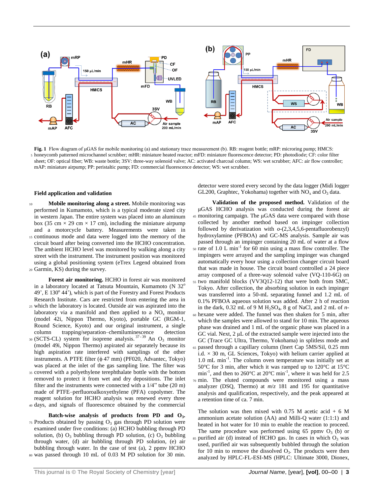

**Fig. 1** Flow diagram of μGAS for mobile monitoring (a) and stationary trace measurement (b). RB: reagent bottle; mRP: microring pump; HMCS: <sup>5</sup> honeycomb patterned microchannel scrubber; mHR: miniature heated reactor; mFD: miniature fluorescence detector; PD: photodiode; CF: color filter sheet; OF: optical fiber; WB: waste bottle; 3SV: three-way solenoid valve; AC: activated charcoal column; WS: wet scrubber; AFC: air flow controller; mAP: miniature airpump; PP: peristaltic pump; FD: commercial fluorescence detector; WS: wet scrubber.

#### **Field application and validation**

<sup>10</sup> **Mobile monitoring along a street.** Mobile monitoring was performed in Kumamoto, which is a typical moderate sized city in western Japan. The entire system was placed into an aluminum box (35 cm  $\times$  29 cm  $\times$  17 cm), including the miniature airpump and a motorcycle battery. Measurements were taken in <sup>15</sup> continuous mode and data were logged into the memory of the circuit board after being converted into the HCHO concentration. The ambient HCHO level was monitored by walking along a city street with the instrument. The instrument position was monitored using a global positioning system (eTrex Legend obtained from <sup>20</sup> Garmin, KS) during the survey.

**Forest air monitoring.** HCHO in forest air was monitored in a laboratory located at Tatsuta Mountain, Kumamoto (N  $32^\circ$ 49', E 130° 44'), which is part of the Forestry and Forest Products Research Institute. Cars are restricted from entering the area in

- <sup>25</sup> which the laboratory is located. Outside air was aspirated into the laboratory via a manifold and then applied to a  $NO<sub>x</sub>$  monitor (model 42i, Nippon Thermo, Kyoto), portable GC (RGM-1, Round Science, Kyoto) and our original instrument, a single column trapping/separation–chemiluminescence detection
- 30 (SCTS-CL) system for isoprene analysis.<sup>37-39</sup> An O<sub>3</sub> monitor (model 49i, Nippon Thermo) aspirated air separately because its high aspiration rate interfered with samplings of the other instruments. A PTFE filter  $(\phi 47$  mm) (PF020, Advantec, Tokyo) was placed at the inlet of the gas sampling line. The filter was
- <sup>35</sup> covered with a polyethylene terephthalate bottle with the bottom removed to protect it from wet and dry depositions. The inlet filter and the instruments were connected with a 1/4" tube (20 m) made of PTFE–perfluoroalkoxyethylene (PFA) copolymer. The reagent solution for HCHO analysis was renewed every three
- <sup>40</sup> days, and signals of fluorescence obtained by the commercial
- **Batch-wise analysis of products from PD and O<sup>3</sup> .**  $75$  Products obtained by passing  $O_3$  gas through PD solution were examined under five conditions: (a) HCHO bubbling through PD solution, (b)  $O_3$  bubbling through PD solution, (c)  $O_3$  bubbling through water, (d) air bubbling through PD solution, (e) air bubbling through water. In the case of test (a), 2 ppmv HCHO <sup>80</sup> was passed through 10 mL of 0.03 M PD solution for 30 min.

detector were stored every second by the data logger (Midi logger GL200, Graphtec, Yokohama) together with  $NO<sub>x</sub>$  and  $O<sub>3</sub>$  data.

**Validation of the proposed method.** Validation of the μGAS HCHO analysis was conducted during the forest air <sup>45</sup> monitoring campaign. The μGAS data were compared with those collected by another method based on impinger collection followed by derivatization with *o*-(2,3,4,5,6-pentafluorobenzyl) hydroxylamine (PFBOA) and GC-MS analysis. Sample air was passed through an impinger containing 20 mL of water at a flow  $50$  rate of 1.0 L min<sup>-1</sup> for 60 min using a mass flow controller. The impingers were arrayed and the sampling impinger was changed automatically every hour using a collection changer circuit board that was made in house. The circuit board controlled a 24 piece array composed of a three-way solenoid valve (VQ-110-6G) on <sup>55</sup> two manifold blocks (VV3Q12-12) that were both from SMC, Tokyo. After collection, the absorbing solution in each impinger was transferred into a 50-mL separating funnel and 1.2 mL of 0.1% PFBOA aqueous solution was added. After 2 h of reaction in the dark, 0.32 mL of 9 M H2SO<sup>4</sup> , 8 g of NaCl, and 2 mL of *n*-<sup>60</sup> hexane were added. The funnel was then shaken for 5 min, after which the samples were allowed to stand for 10 min. The aqueous phase was drained and 1 mL of the organic phase was placed in a GC vial. Next, 2 μL of the extracted sample were injected into the GC (Trace GC Ultra, Thermo, Yokohama) in splitless mode and <sup>65</sup> passed through a capillary column (Inert Cap 5MS/Sil, 0.25 mm i.d.  $\times$  30 m, GL Sciences, Tokyo) with helium carrier applied at 1.0 mL min<sup>-1</sup>. The column oven temperature was initially set at 50°C for 3 min, after which it was ramped up to 120°C at 15°C min<sup>-1</sup>, and then to 260°C at 20°C min<sup>-1</sup>, where it was held for 2.5 <sup>70</sup> min. The eluted compounds were monitored using a mass analyzer (DSQ, Thermo) at *m*/*z* 181 and 195 for quantitative analysis and qualification, respectively, and the peak appeared at a retention time of ca. 7 min.

The solution was then mixed with  $0.75$  M acetic acid  $+ 6$  M ammonium acetate solution (AA) and Milli-Q water (1:1:1) and heated in hot water for 10 min to enable the reaction to proceed. The same procedure was performed using  $65$  ppmv  $O<sub>3</sub>$  (b) or  $85$  purified air (d) instead of HCHO gas. In cases in which  $O<sub>3</sub>$  was used, purified air was subsequently bubbled through the solution for 10 min to remove the dissolved  $O_3$ . The products were then analyzed by HPLC-FL-ESI-MS (HPLC: Ultimate 3000, Dionex,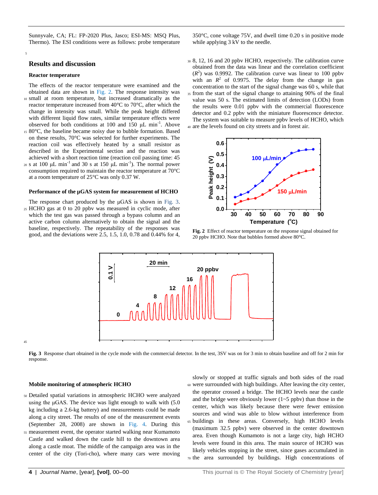Sunnyvale, CA; FL: FP-2020 Plus, Jasco; ESI-MS: MSQ Plus, Thermo). The ESI conditions were as follows: probe temperature

#### **Results and discussion**

#### **Reactor temperature**

5

45

The effects of the reactor temperature were examined and the obtained data are shown in Fig. 2. The response intensity was <sup>10</sup> small at room temperature, but increased dramatically as the reactor temperature increased from 40°C to 70°C, after which the change in intensity was small. While the peak height differed with different liquid flow rates, similar temperature effects were observed for both conditions at 100 and 150  $\mu$ L min<sup>-1</sup>. Above

- <sup>15</sup> 80°C, the baseline became noisy due to bubble formation. Based on these results, 70°C was selected for further experiments. The reaction coil was effectively heated by a small resistor as described in the Experimental section and the reaction was achieved with a short reaction time (reaction coil passing time: 45
- 20 s at 100 μL min<sup>-1</sup> and 30 s at 150 μL min<sup>-1</sup>). The normal power consumption required to maintain the reactor temperature at 70°C at a room temperature of 25°C was only 0.37 W.

#### **Performance of the µGAS system for measurement of HCHO**

The response chart produced by the μGAS is shown in Fig. 3. <sup>25</sup> HCHO gas at 0 to 20 ppbv was measured in cyclic mode, after which the test gas was passed through a bypass column and an active carbon column alternatively to obtain the signal and the baseline, respectively. The repeatability of the responses was good, and the deviations were 2.5, 1.5, 1.0, 0.78 and 0.44% for 4,

350°C, cone voltage 75V, and dwell time 0.20 s in positive mode while applying 3 kV to the needle.

<sup>30</sup> 8, 12, 16 and 20 ppbv HCHO, respectively. The calibration curve obtained from the data was linear and the correlation coefficient  $(R<sup>2</sup>)$  was 0.9992. The calibration curve was linear to 100 ppbv with an  $R^2$  of 0.9975. The delay from the change in gas concentration to the start of the signal change was 60 s, while that <sup>35</sup> from the start of the signal change to attaining 90% of the final value was 50 s. The estimated limits of detection (LODs) from the results were 0.01 ppbv with the commercial fluorescence detector and 0.2 ppbv with the miniature fluorescence detector. The system was suitable to measure ppbv levels of HCHO, which <sup>40</sup> are the levels found on city streets and in forest air.



**Fig. 2** Effect of reactor temperature on the response signal obtained for 20 ppbv HCHO. Note that bubbles formed above 80°C.



**Fig. 3** Response chart obtained in the cycle mode with the commercial detector. In the test, 3SV was on for 3 min to obtain baseline and off for 2 min for response.

#### **Mobile monitoring of atmospheric HCHO**

- <sup>50</sup> Detailed spatial variations in atmospheric HCHO were analyzed using the μGAS. The device was light enough to walk with (5.0 kg including a 2.6-kg battery) and measurements could be made along a city street. The results of one of the measurement events (September 28, 2008) are shown in Fig. 4. During this
- <sup>55</sup> measurement event, the operator started walking near Kumamoto Castle and walked down the castle hill to the downtown area along a castle moat. The middle of the campaign area was in the center of the city (Tori-cho), where many cars were moving

slowly or stopped at traffic signals and both sides of the road <sup>60</sup> were surrounded with high buildings. After leaving the city center, the operator crossed a bridge. The HCHO levels near the castle and the bridge were obviously lower  $(1~5~$  ppbv) than those in the center, which was likely because there were fewer emission sources and wind was able to blow without interference from <sup>65</sup> buildings in these areas. Conversely, high HCHO levels (maximum 32.5 ppbv) were observed in the center downtown area. Even though Kumamoto is not a large city, high HCHO levels were found in this area. The main source of HCHO was likely vehicles stopping in the street, since gases accumulated in

<sup>70</sup> the area surrounded by buildings. High concentrations of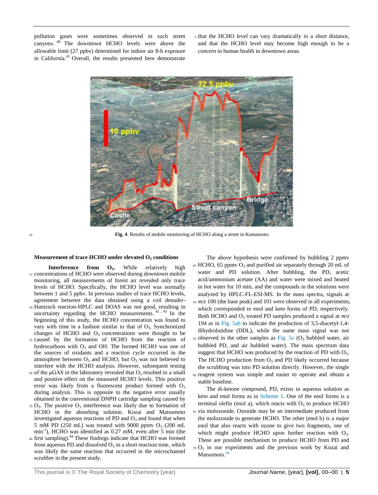pollution gases were sometimes observed in such street canyons. <sup>40</sup> The downtown HCHO levels were above the allowable limit (27 ppbv) determined for indoor air 8-h exposure in California.<sup>41</sup> Overall, the results presented here demonstrate

<sup>5</sup> that the HCHO level can vary dramatically in a short distance, and that the HCHO level may become high enough to be a concern to human health in downtown areas.



<sup>10</sup> **Fig. 4** Results of mobile monitoring of HCHO along a street in Kumamoto.

#### **Measurement of trace HCHO under elevated O<sup>3</sup> conditions**

- **Interference from O<sup>3</sup> .** While relatively high <sup>15</sup> concentrations of HCHO were observed during downtown mobile monitoring, all measurements of forest air revealed only trace levels of HCHO. Specifically, the HCHO level was normally between 1 and 5 ppbv. In previous studies of trace HCHO levels, agreement between the data obtained using a coil denuder-
- <sup>20</sup> Hantzsch reaction-HPLC and DOAS was not good, resulting in uncertainty regarding the HCHO measurements.  $42, 43$  In the beginning of this study, the HCHO concentration was found to vary with time in a fashion similar to that of  $O_3$ . Synchronized changes of HCHO and  $O_3$  concentrations were thought to be
- <sup>25</sup> caused by the formation of HCHO from the reaction of hydrocarbons with  $O_3$  and OH. The formed HCHO was one of the sources of oxidants and a reaction cycle occurred in the atmosphere between  $O_3$  and HCHO, but  $O_3$  was not believed to interfere with the HCHO analysis. However, subsequent testing
- 30 of the  $\mu$ GAS in the laboratory revealed that  $O_3$  resulted in a small and positive effect on the measured HCHO levels. This positive error was likely from a fluorescent product formed with  $O_3$ during analysis. This is opposite to the negative error usually obtained in the conventional DNPH cartridge sampling caused by
- $35 \text{ O}_3$ . The positive  $\text{O}_3$  interference was likely due to formation of HCHO in the absorbing solution. Kozai and Matsumoto investigated aqueous reactions of PD and  $O_3$  and found that when 5 mM PD (250 mL) was treated with 9000 ppmv  $O_3$  (200 mL min-1 ), HCHO was identified as 0.27 mM, even after 5 min (the
- 40 first sampling).<sup>44</sup> These findings indicate that HCHO was formed from aqueous PD and dissolved  $O_3$  in a short reaction time, which was likely the same reaction that occurred in the microchannel scrubber in the present study.

The above hypothesis were confirmed by bubbling 2 ppmv  $45$  HCHO, 65 ppmv  $O_3$  and purified air separately through 20 mL of water and PD solution. After bubbling, the PD, acetic acid/ammonium acetate (AA) and water were mixed and heated in hot water for 10 min, and the compounds in the solutions were analyzed by HPLC-FL-ESI-MS. In the mass spectra, signals at  $50 \frac{m}{z}$  100 (the base peak) and 101 were observed in all experiments, which corresponded to enol and keto forms of PD, respectively. Both HCHO and O<sub>3</sub> treated PD samples produced a signal at  $m/z$ 194 as in Fig. 5ab to indicate the production of 3,5-diacetyl-1,4 dihydrolutidine (DDL), while the same mass signal was not  $55$  observed in the other samples as Fig. 5c (O<sub>3</sub> bubbled water, air bubbled PD, and air bubbled water). The mass spectrum data suggest that HCHO was produced by the reaction of PD with  $O_3$ . The HCHO production from  $O_3$  and PD likely occurred because the scrubbing was into PD solution directly. However, the single <sup>60</sup> reagent system was simple and easier to operate and obtain a stable baseline.

The di-ketone compound, PD, exists in aqueous solution as keto and enol forms as in Scheme 1. One of the enol forms is a terminal olefin (enol a), which reacts with  $O_3$  to produce HCHO <sup>65</sup> via molozonide. Ozonide may be an intermediate produced from the molozonide to generate HCHO. The other (enol b) is a major enol that also reacts with ozone to give two fragments, one of which might produce HCHO upon further reaction with  $O_3$ . These are possible mechanism to produce HCHO from PD and  $70 \text{ O}_3$  in our experiments and the previous work by Kozai and Matsumoto.<sup>44</sup>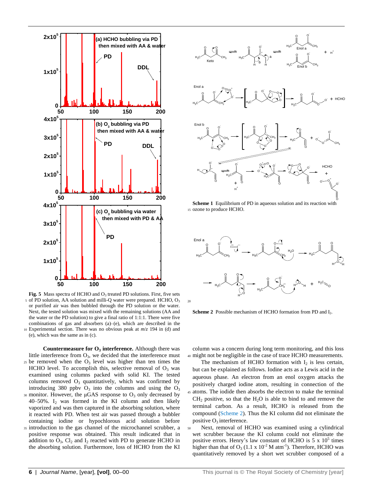

**Fig. 5** Mass spectra of HCHO and  $O_3$  treated PD solutions. First, five sets <sup>5</sup> of PD solution, AA solution and milli-Q water were prepared. HCHO, O<sup>3</sup> or purified air was then bubbled through the PD solution or the water. Next, the tested solution was mixed with the remaining solutions (AA and the water or the PD solution) to give a final ratio of 1:1:1. There were five combinations of gas and absorbers (a)–(e), which are described in the <sup>10</sup> Experimental section. There was no obvious peak at *m*/*z* 194 in (d) and (e), which was the same as in (c).

**Countermeasure for O<sup>3</sup> interference.** Although there was little interference from  $O_3$ , we decided that the interference must  $25$  be removed when the  $O_3$  level was higher than ten times the HCHO level. To accomplish this, selective removal of  $O_3$  was examined using columns packed with solid KI. The tested columns removed  $O_3$  quantitatively, which was confirmed by introducing 380 ppbv  $O_3$  into the columns and using the  $O_3$ 30 monitor. However, the  $\mu$ GAS response to  $O_3$  only decreased by

- 40–50%.  $I_2$  was formed in the KI column and then likely vaporized and was then captured in the absorbing solution, where it reacted with PD. When test air was passed through a bubbler containing iodine or hypochlorous acid solution before
- <sup>35</sup> introduction to the gas channel of the microchannel scrubber, a positive response was obtained. This result indicated that in addition to  $O_3$ ,  $Cl_2$  and  $I_2$  reacted with PD to generate HCHO in the absorbing solution. Furthermore, loss of HCHO from the KI



**Scheme 1** Equilibrium of PD in aqueous solution and its reaction with <sup>15</sup> ozone to produce HCHO.



Scheme 2 Possible mechanism of HCHO formation from PD and I<sub>2</sub>.

column was a concern during long term monitoring, and this loss <sup>40</sup> might not be negligible in the case of trace HCHO measurements.

- The mechanism of HCHO formation with  $I_2$  is less certain, but can be explained as follows. Iodine acts as a Lewis acid in the aqueous phase. An electron from an enol oxygen attacks the positively charged iodine atom, resulting in connection of the <sup>45</sup> atoms. The iodide then absorbs the electron to make the terminal  $CH<sub>2</sub>$  positive, so that the  $H<sub>2</sub>O$  is able to bind to and remove the terminal carbon. As a result, HCHO is released from the compound (Scheme 2). Thus the KI column did not eliminate the positive O<sub>3</sub> interference.
- <sup>50</sup> Next, removal of HCHO was examined using a cylindrical wet scrubber because the KI column could not eliminate the positive errors. Henry's law constant of HCHO is  $5 \times 10^5$  times higher than that of  $O_3$  (1.1 x  $10^{-2}$  M atm<sup>-1</sup>). Therefore, HCHO was quantitatively removed by a short wet scrubber composed of a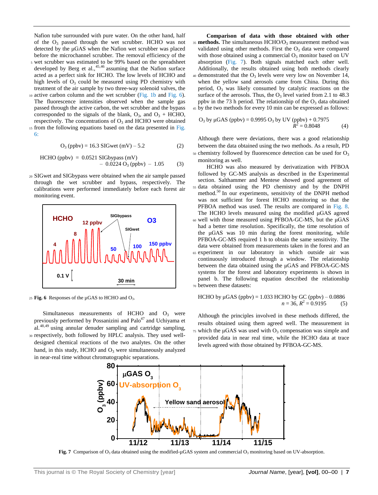Nafion tube surrounded with pure water. On the other hand, half of the  $O_3$  passed through the wet scrubber. HCHO was not detected by the μGAS when the Nafion wet scrubber was placed before the microchannel scrubber. The removal efficiency of the

- <sup>5</sup> wet scrubber was estimated to be 99% based on the spreadsheet developed by Berg et al., 45,46 assuming that the Nafion surface acted as a perfect sink for HCHO. The low levels of HCHO and high levels of  $O_3$  could be measured using PD chemistry with treatment of the air sample by two three-way solenoid valves, the
- <sup>10</sup> active carbon column and the wet scrubber (Fig. 1b and Fig. 6). The fluorescence intensities observed when the sample gas passed through the active carbon, the wet scrubber and the bypass corresponded to the signals of the blank,  $O_3$ , and  $O_3$  + HCHO, respectively. The concentrations of  $O_3$  and HCHO were obtained 15 from the following equations based on the data presented in Fig.

6:

$$
O_3 (ppbv) = 16.3 SIGwet (mV) - 5.2
$$
 (2)

HCHO (ppbv) = 0.0521 SIGbypass (mV) – 0.0224 O<sup>3</sup> (ppbv) – 1.05 (3)

<sup>20</sup> SIGwet and SIGbypass were obtained when the air sample passed through the wet scrubber and bypass, respectively. The calibrations were performed immediately before each forest air monitoring event.



25 **Fig. 6** Responses of the  $\mu$ GAS to HCHO and  $O_3$ .

Simultaneous measurements of HCHO and  $O_3$  were previously performed by Possanizini and Palo<sup>47</sup> and Uchiyama et al.48,49 using annular denuder sampling and cartridge sampling, <sup>30</sup> respectively, both followed by HPLC analysis. They used welldesigned chemical reactions of the two analytes. On the other hand, in this study, HCHO and  $O_3$  were simultaneously analyzed in near-real time without chromatographic separations.

**Comparison of data with those obtained with other** <sup>35</sup> **methods.** The simultaneous HCHO/O<sub>3</sub> measurement method was validated using other methods. First the  $O<sub>3</sub>$  data were compared with those obtained using a commercial  $O_3$  monitor based on UV absorption (Fig. 7). Both signals matched each other well. Additionally, the results obtained using both methods clearly  $40$  demonstrated that the  $O_3$  levels were very low on November 14, when the yellow sand aerosols came from China. During this period,  $O_3$  was likely consumed by catalytic reactions on the surface of the aerosols. Thus, the  $O_3$  level varied from 2.1 to 48.3 ppbv in the 73 h period. The relationship of the  $O_3$  data obtained <sup>45</sup> by the two methods for every 10 min can be expressed as follows:

O<sub>3</sub> by μGAS (ppbv) = 0.9995 O<sub>3</sub> by UV (ppbv) + 0.7975  

$$
R^2 = 0.8048
$$
 (4)

Although there were deviations, there was a good relationship between the data obtained using the two methods. As a result, PD  $50$  chemistry followed by fluorescence detection can be used for  $O_3$ 

monitoring as well. HCHO was also measured by derivatization with PFBOA followed by GC-MS analysis as described in the Experimental section. Salthammer and Mentese showed good agreement of <sup>55</sup> data obtained using the PD chemistry and by the DNPH method.<sup>50</sup> In our experiments, sensitivity of the DNPH method was not sufficient for forest HCHO monitoring so that the PFBOA method was used. The results are compared in Fig. 8. The HCHO levels measured using the modified μGAS agreed <sup>60</sup> well with those measured using PFBOA-GC-MS, but the μGAS had a better time resolution. Specifically, the time resolution of the μGAS was 10 min during the forest monitoring, while PFBOA-GC-MS required 1 h to obtain the same sensitivity. The data were obtained from measurements taken in the forest and an <sup>65</sup> experiment in our laboratory in which outside air was continuously introduced through a window. The relationship between the data obtained using the μGAS and PFBOA-GC-MS

systems for the forest and laboratory experiments is shown in panel b. The following equation described the relationship <sup>70</sup> between these datasets:

HCHO by 
$$
\mu
$$
GAS (ppbv) = 1.033 HCHO by GC (ppbv) – 0.0886  
\n $n = 36, R^2 = 0.9195$  (5)

Although the principles involved in these methods differed, the results obtained using them agreed well. The measurement in  $75$  which the μGAS was used with  $O_3$  compensation was simple and provided data in near real time, while the HCHO data at trace levels agreed with those obtained by PFBOA-GC-MS.



**Fig. 7** Comparison of O<sub>3</sub> data obtained using the modified-µGAS system and commercial O<sub>3</sub> monitoring based on UV-absorption.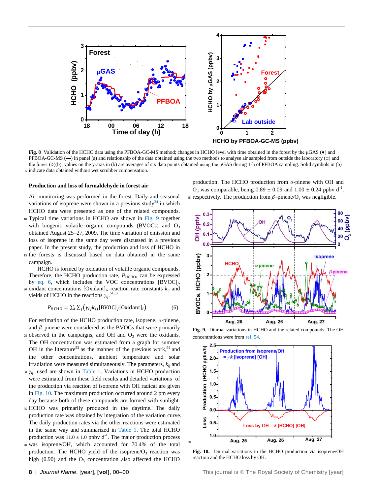

**Fig. 8** Validation of the HCHO data using the PFBOA-GC-MS method; changes in HCHO level with time obtained in the forest by the μGAS (●) and PFBOA-GC-MS  $\leftarrow$ ) in panel (a) and relationship of the data obtained using the two methods to analyse air sampled from outside the laboratory  $\Box$ ) and the forest (○)(b); values on the y-axis in (b) are averages of six data points obtained using the μGAS during 1-h of PFBOA sampling. Solid symbols in (b) <sup>5</sup> indicate data obtained without wet scrubber compensation.

50

#### **Production and loss of formaldehyde in forest air**

Air monitoring was performed in the forest. Daily and seasonal variations of isoprene were shown in a previous study<sup>34</sup> in which HCHO data were presented as one of the related compounds.

- <sup>10</sup> Typical time variations in HCHO are shown in Fig. 9 together with biogenic volatile organic compounds (BVOCs) and  $O_3$ obtained August 25–27, 2009. The time variation of emission and loss of isoprene in the same day were discussed in a previous paper. In the present study, the production and loss of HCHO in
- <sup>15</sup> the forests is discussed based on data obtained in the same campaign.

HCHO is formed by oxidation of volatile organic compounds. Therefore, the HCHO production rate, *P<sub>HCHO</sub>*, can be expressed by eq. 6, which includes the VOC concentrations [BVOC]*<sup>j</sup>* ,  $\alpha$  oxidant concentrations [Oxidant]<sub>*i*</sub>, reaction rate constants  $k_{ij}$  and yields of HCHO in the reactions *γij*. 51,52

$$
P_{\text{HCHO}} = \sum_{i} \sum_{j} (\gamma_{ij} k_{ij} [\text{BVOC}]_j [\text{Oxidant}]_i)
$$
 (6)

For estimation of the HCHO production rate, isoprene, *α*-pinene, and *β*–pinene were considered as the BVOCs that were primarily  $25$  observed in the campaigns, and OH and  $O<sub>3</sub>$  were the oxidants.

- The OH concentration was estimated from a graph for summer OH in the literature<sup>53</sup> as the manner of the previous work,<sup>54</sup> and the other concentrations, ambient temperature and solar irradiation were measured simultaneously. The parameters, *kij* and
- *30 γ<sub>ii</sub>*, used are shown in Table 1. Variations in HCHO production were estimated from these field results and detailed variations of the production via reaction of isoprene with OH radical are given in Fig. 10. The maximum production occurred around 2 pm every day because both of these compounds are formed with sunlight.
- <sup>35</sup> HCHO was primarily produced in the daytime. The daily production rate was obtained by integration of the variation curve. The daily production rates via the other reactions were estimated in the same way and summarized in Table 1. The total HCHO production was  $11.0 \pm 1.0$  ppbv d<sup>-1</sup>. The major production process
- <sup>40</sup> was isoprene/OH, which accounted for 70.4% of the total production. The HCHO yield of the isoprene/ $O<sub>3</sub>$  reaction was high  $(0.90)$  and the  $O<sub>3</sub>$  concentration also affected the HCHO

production. The HCHO production from *α*-pinene with OH and  $O_3$  was comparable, being  $0.89 \pm 0.09$  and  $1.00 \pm 0.24$  ppbv d<sup>-1</sup>, 45 respectively. The production from  $\beta$ -pinene/O<sub>3</sub> was negligible.



**Fig. 9.** Diurnal variations in HCHO and the related compounds. The OH concentrations were from ref. 54.



**Fig. 10.** Diurnal variations in the HCHO production via isoprene/OH reaction and the HCHO loss by OH.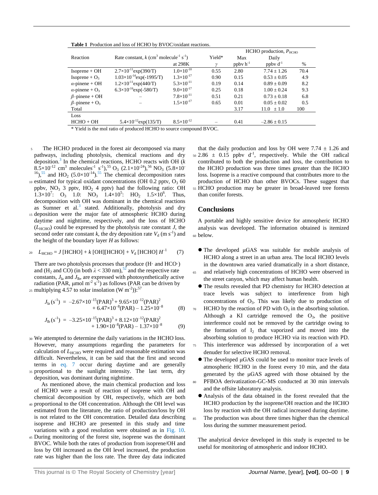**Table 1** Production and loss of HCHO by BVOC/oxidant reactions.

|                                   |                                                                              |                     |        | $HCHO$ production, $P_{HCHO}$ |                  |      |
|-----------------------------------|------------------------------------------------------------------------------|---------------------|--------|-------------------------------|------------------|------|
| Reaction                          | Rate constant, $k$ (cm <sup>3</sup> molecule <sup>-1</sup> s <sup>-1</sup> ) |                     | Yield* | Max                           | Daily            |      |
|                                   |                                                                              | at 298K             |        | ppby $h^{-1}$                 | ppby $d^{-1}$    | $\%$ |
| $Isoprene + OH$                   | $2.7\times10^{-11}$ exp(390/T)                                               | $1.0\times10^{-10}$ | 0.55   | 2.80                          | $7.74 \pm 1.26$  | 70.4 |
| Isoprene + $O_3$                  | $1.03\times10^{-14}$ exp(-1995/T)                                            | $1.3\times10^{-17}$ | 0.90   | 0.15                          | $0.53 + 0.05$    | 4.9  |
| $\alpha$ -pinene + OH             | $1.2\times10^{-11}$ exp(440/T)                                               | $5.3\times10^{-11}$ | 0.19   | 0.14                          | $0.89 + 0.09$    | 8.2  |
| $\alpha$ -pinene + O <sub>3</sub> | $6.3\times10^{-16}$ exp(-580/T)                                              | $9.0\times10^{-17}$ | 0.25   | 0.18                          | $1.00 + 0.24$    | 9.3  |
| $\beta$ -pinene + OH              |                                                                              | $7.8\times10^{-11}$ | 0.51   | 0.21                          | $0.73 + 0.18$    | 6.8  |
| $\beta$ -pinene + O <sub>3</sub>  |                                                                              | $1.5\times10^{-17}$ | 0.65   | 0.01                          | $0.05 + 0.02$    | 0.5  |
| Total                             |                                                                              |                     |        | 3.17                          | $11.0 + 1.0$     | 100  |
| Loss                              |                                                                              |                     |        |                               |                  |      |
| $HCHO + OH$                       | $5.4 \times 10^{-12}$ exp $(135/T)$                                          | $8.5\times10^{-12}$ |        | 0.41                          | $-2.86 \pm 0.15$ |      |
|                                   |                                                                              |                     |        |                               |                  |      |

\* Yield is the mol ratio of produced HCHO to source compound BVOC.

- The HCHO produced in the forest air decomposed via many pathways, including photolysis, chemical reactions and dry deposition.<sup>3</sup> In the chemical reactions, HCHO reacts with OH (*k*  $8.5 \times 10^{-12}$  cm<sup>3</sup> molecules<sup>-1</sup> s<sup>-1</sup>),<sup>55</sup> O<sub>3</sub> (2.1×10<sup>-24</sup>),<sup>56</sup> NO<sub>3</sub> (5.8×10<sup>-24</sup>)  $^{16}$ ,<sup>55</sup> and HO<sub>2</sub> (5.0×10<sup>-14</sup>).<sup>55</sup> The chemical decomposition rates 10 estimated for typical oxidant concentrations (OH  $0.2$  pptv,  $O<sub>3</sub>$  60 ppbv,  $NO<sub>3</sub>$  3 pptv,  $HO<sub>2</sub>$  4 pptv) had the following ratio: OH  $1.3 \times 10^7$ : O<sub>3</sub> 1.0: NO<sub>3</sub> 1.4×10<sup>5</sup>: HO<sub>2</sub> 1.5×10<sup>6</sup>. Thus, decomposition with OH was dominant in the chemical reactions as Sumner et al. $3$  stated. Additionally, photolysis and dry <sup>15</sup> deposition were the major fate of atmospheric HCHO during daytime and nighttime, respectively, and the loss of HCHO
- $(L_{\text{HCHO}})$  could be expressed by the photolysis rate constant *J*, the second order rate constant *k*, the dry deposition rate  $V_d$  (m s<sup>-1</sup>) and the height of the boundary layer *H* as follows:

<sup>20</sup> 
$$
L_{\text{HCHO}} = J \text{ [HCHO]} + k \text{ [OH][HCHO]} + V_d \text{ [HCHO]} H^{-1}
$$
 (7)

There are two photolysis processes that produce (H· and HCO·) and (H<sub>2</sub> and CO) (in both  $\lambda$  < 330 nm),<sup>52</sup> and the respective rate constants,  $J_{\rm la}$  and  $J_{\rm lb}$ , are expressed with photosynthetically active radiation (PAR,  $\mu$ mol m<sup>-2</sup> s<sup>-1</sup>) as follows (PAR can be driven by 25 multiplying 4.57 to solar insolation  $(W \text{ m}^2)$ .<sup>57</sup>

$$
J_{1a}(s^{-1}) = -2.67 \times 10^{-15} (PAR)^3 + 9.65 \times 10^{-12} (PAR)^2 + 6.47 \times 10^{-8} (PAR) - 1.25 \times 10^{-8}
$$
 (8)

$$
J_{\text{lb}}(s^{-1}) = -3.25 \times 10^{-15} (\text{PAR})^3 + 8.12 \times 10^{-12} (\text{PAR})^2 + 1.90 \times 10^{-8} (\text{PAR}) - 1.37 \times 10^{-8}
$$
 (9)

<sup>30</sup> We attempted to determine the daily variations in the HCHO loss. However, many assumptions regarding the parameters for calculation of  $L<sub>HCHO</sub>$  were required and reasonable estimation was difficult. Nevertheless, it can be said that the first and second terms in eq. 7 occur during daytime and are generally 35 proportional to the sunlight intensity. The last term, dry deposition, was dominant during nighttime.

 As mentioned above, the main chemical production and loss of HCHO were a result of reaction of isoprene with OH and chemical decomposition by OH, respectively, which are both

- <sup>40</sup> proportional to the OH concentration. Although the OH level was estimated from the literature, the ratio of production/loss by OH is not related to the OH concentration. Detailed data describing isoprene and HCHO are presented in this study and time variations with a good resolution were obtained as in Fig. 10.
- <sup>45</sup> During monitoring of the forest site, isoprene was the dominant BVOC. While both the rates of production from isoprene/OH and loss by OH increased as the OH level increased, the production rate was higher than the loss rate. The three day data indicated

that the daily production and loss by OH were  $7.74 \pm 1.26$  and  $50, 2.86 \pm 0.15$  ppbv d<sup>-1</sup>, respectively. While the OH radical contributed to both the production and loss, the contribution to the HCHO production was three times greater than the HCHO loss. Isoprene is a reactive compound that contributes more to the production of HCHO than other BVOCs. These suggest that <sup>55</sup> HCHO production may be greater in broad-leaved tree forests than conifer forests.

#### **Conclusions**

A portable and highly sensitive device for atmospheric HCHO analysis was developed. The information obtained is itemized <sup>60</sup> below.

- The developed μGAS was suitable for mobile analysis of HCHO along a street in an urban area. The local HCHO levels in the downtown area varied dramatically in a short distance,
- and relatively high concentrations of HCHO were observed in the street canyon, which may affect human health.
- The results revealed that PD chemistry for HCHO detection at trace levels was subject to interference from high concentrations of  $O_3$ . This was likely due to production of  $70$  HCHO by the reaction of PD with  $O_3$  in the absorbing solution. Although a KI cartridge removed the  $O_3$ , the positive interference could not be removed by the cartridge owing to the formation of  $I_2$  that vaporized and moved into the absorbing solution to produce HCHO via its reaction with PD.
- This interference was addressed by incorporation of a wet denuder for selective HCHO removal.
- The developed μGAS could be used to monitor trace levels of atmospheric HCHO in the forest every 10 min, and the data generated by the μGAS agreed with those obtained by the PFBOA derivatization-GC-MS conducted at 30 min intervals and the offsite laboratory analysis.
- Analysis of the data obtained in the forest revealed that the HCHO production by the isoprene/OH reaction and the HCHO loss by reaction with the OH radical increased during daytime. 85 The production was about three times higher than the chemical loss during the summer measurement period.

The analytical device developed in this study is expected to be useful for monitoring of atmospheric and indoor HCHO.